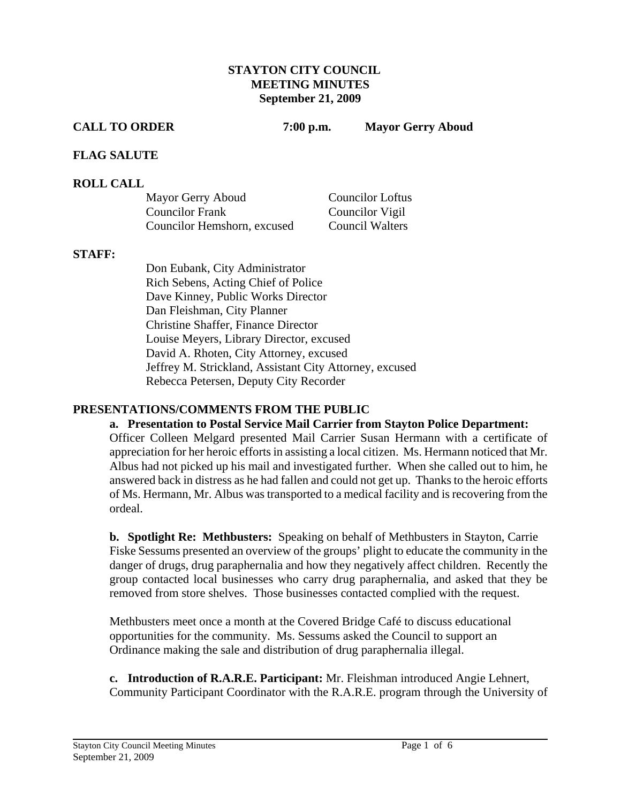# **STAYTON CITY COUNCIL MEETING MINUTES September 21, 2009**

**CALL TO ORDER 7:00 p.m. Mayor Gerry Aboud** 

# **FLAG SALUTE**

# **ROLL CALL**

| Mayor Gerry Aboud           | <b>Councilor Loftus</b> |
|-----------------------------|-------------------------|
| <b>Councilor Frank</b>      | Councilor Vigil         |
| Councilor Hemshorn, excused | <b>Council Walters</b>  |

### **STAFF:**

Don Eubank, City Administrator Rich Sebens, Acting Chief of Police Dave Kinney, Public Works Director Dan Fleishman, City Planner Christine Shaffer, Finance Director Louise Meyers, Library Director, excused David A. Rhoten, City Attorney, excused Jeffrey M. Strickland, Assistant City Attorney, excused Rebecca Petersen, Deputy City Recorder

# **PRESENTATIONS/COMMENTS FROM THE PUBLIC**

# **a. Presentation to Postal Service Mail Carrier from Stayton Police Department:**

Officer Colleen Melgard presented Mail Carrier Susan Hermann with a certificate of appreciation for her heroic efforts in assisting a local citizen. Ms. Hermann noticed that Mr. Albus had not picked up his mail and investigated further. When she called out to him, he answered back in distress as he had fallen and could not get up. Thanks to the heroic efforts of Ms. Hermann, Mr. Albus was transported to a medical facility and is recovering from the ordeal.

**b. Spotlight Re: Methbusters:** Speaking on behalf of Methbusters in Stayton, Carrie Fiske Sessums presented an overview of the groups' plight to educate the community in the danger of drugs, drug paraphernalia and how they negatively affect children. Recently the group contacted local businesses who carry drug paraphernalia, and asked that they be removed from store shelves. Those businesses contacted complied with the request.

Methbusters meet once a month at the Covered Bridge Café to discuss educational opportunities for the community. Ms. Sessums asked the Council to support an Ordinance making the sale and distribution of drug paraphernalia illegal.

**c. Introduction of R.A.R.E. Participant:** Mr. Fleishman introduced Angie Lehnert, Community Participant Coordinator with the R.A.R.E. program through the University of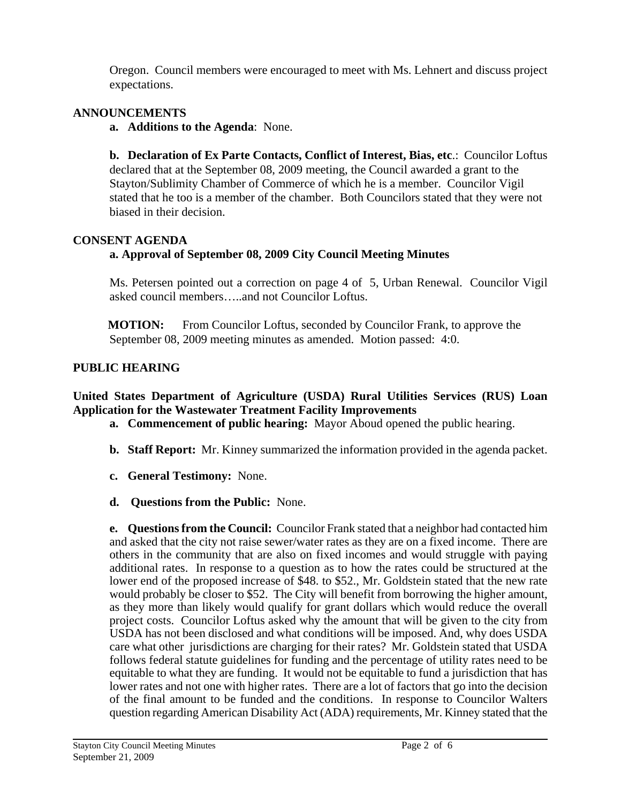Oregon. Council members were encouraged to meet with Ms. Lehnert and discuss project expectations.

# **ANNOUNCEMENTS**

**a. Additions to the Agenda**: None.

**b. Declaration of Ex Parte Contacts, Conflict of Interest, Bias, etc**.: Councilor Loftus declared that at the September 08, 2009 meeting, the Council awarded a grant to the Stayton/Sublimity Chamber of Commerce of which he is a member. Councilor Vigil stated that he too is a member of the chamber. Both Councilors stated that they were not biased in their decision.

# **CONSENT AGENDA**

# **a. Approval of September 08, 2009 City Council Meeting Minutes**

Ms. Petersen pointed out a correction on page 4 of 5, Urban Renewal. Councilor Vigil asked council members…..and not Councilor Loftus.

**MOTION:** From Councilor Loftus, seconded by Councilor Frank, to approve the September 08, 2009 meeting minutes as amended. Motion passed: 4:0.

# **PUBLIC HEARING**

# **United States Department of Agriculture (USDA) Rural Utilities Services (RUS) Loan Application for the Wastewater Treatment Facility Improvements**

- **a. Commencement of public hearing:** Mayor Aboud opened the public hearing.
- **b. Staff Report:** Mr. Kinney summarized the information provided in the agenda packet.
- **c. General Testimony:** None.
- **d. Questions from the Public:** None.

**e. Questions from the Council:** Councilor Frank stated that a neighbor had contacted him and asked that the city not raise sewer/water rates as they are on a fixed income. There are others in the community that are also on fixed incomes and would struggle with paying additional rates. In response to a question as to how the rates could be structured at the lower end of the proposed increase of \$48. to \$52., Mr. Goldstein stated that the new rate would probably be closer to \$52. The City will benefit from borrowing the higher amount, as they more than likely would qualify for grant dollars which would reduce the overall project costs. Councilor Loftus asked why the amount that will be given to the city from USDA has not been disclosed and what conditions will be imposed. And, why does USDA care what other jurisdictions are charging for their rates? Mr. Goldstein stated that USDA follows federal statute guidelines for funding and the percentage of utility rates need to be equitable to what they are funding. It would not be equitable to fund a jurisdiction that has lower rates and not one with higher rates. There are a lot of factors that go into the decision of the final amount to be funded and the conditions. In response to Councilor Walters question regarding American Disability Act (ADA) requirements, Mr. Kinney stated that the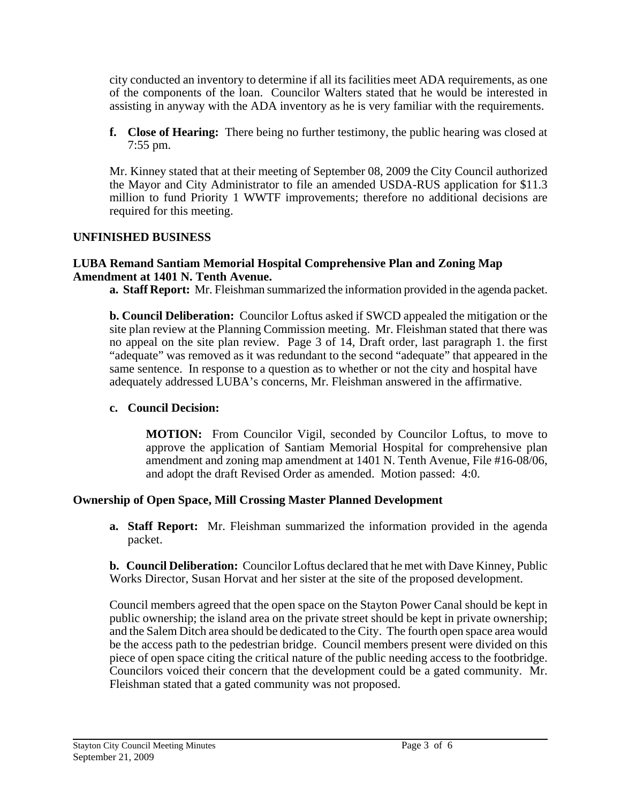city conducted an inventory to determine if all its facilities meet ADA requirements, as one of the components of the loan. Councilor Walters stated that he would be interested in assisting in anyway with the ADA inventory as he is very familiar with the requirements.

**f. Close of Hearing:** There being no further testimony, the public hearing was closed at 7:55 pm.

Mr. Kinney stated that at their meeting of September 08, 2009 the City Council authorized the Mayor and City Administrator to file an amended USDA-RUS application for \$11.3 million to fund Priority 1 WWTF improvements; therefore no additional decisions are required for this meeting.

# **UNFINISHED BUSINESS**

## **LUBA Remand Santiam Memorial Hospital Comprehensive Plan and Zoning Map Amendment at 1401 N. Tenth Avenue.**

**a. Staff Report:** Mr. Fleishman summarized the information provided in the agenda packet.

**b. Council Deliberation:** Councilor Loftus asked if SWCD appealed the mitigation or the site plan review at the Planning Commission meeting. Mr. Fleishman stated that there was no appeal on the site plan review. Page 3 of 14, Draft order, last paragraph 1. the first "adequate" was removed as it was redundant to the second "adequate" that appeared in the same sentence. In response to a question as to whether or not the city and hospital have adequately addressed LUBA's concerns, Mr. Fleishman answered in the affirmative.

# **c. Council Decision:**

 **MOTION:** From Councilor Vigil, seconded by Councilor Loftus, to move to approve the application of Santiam Memorial Hospital for comprehensive plan amendment and zoning map amendment at 1401 N. Tenth Avenue, File #16-08/06, and adopt the draft Revised Order as amended. Motion passed: 4:0.

# **Ownership of Open Space, Mill Crossing Master Planned Development**

**a. Staff Report:** Mr. Fleishman summarized the information provided in the agenda packet.

 **b. Council Deliberation:** Councilor Loftus declared that he met with Dave Kinney, Public Works Director, Susan Horvat and her sister at the site of the proposed development.

Council members agreed that the open space on the Stayton Power Canal should be kept in public ownership; the island area on the private street should be kept in private ownership; and the Salem Ditch area should be dedicated to the City. The fourth open space area would be the access path to the pedestrian bridge. Council members present were divided on this piece of open space citing the critical nature of the public needing access to the footbridge. Councilors voiced their concern that the development could be a gated community. Mr. Fleishman stated that a gated community was not proposed.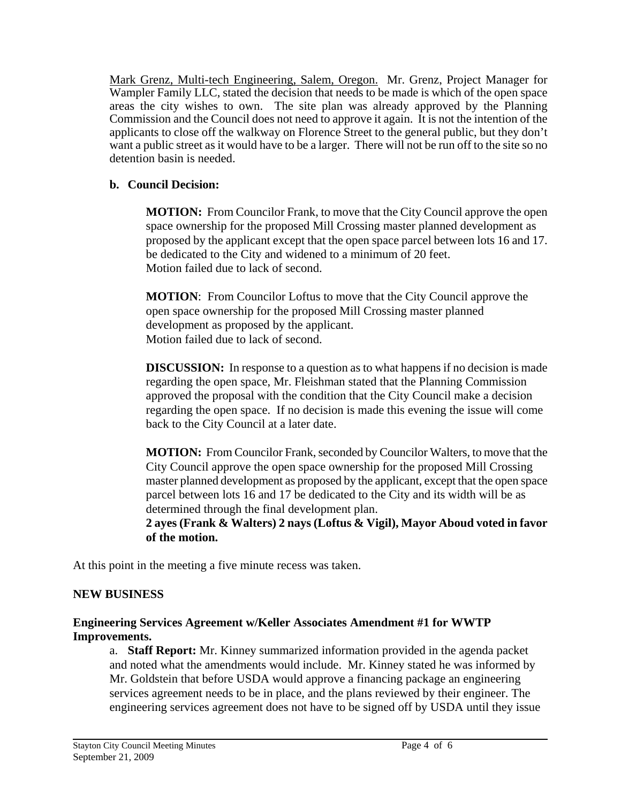Mark Grenz, Multi-tech Engineering, Salem, Oregon. Mr. Grenz, Project Manager for Wampler Family LLC, stated the decision that needs to be made is which of the open space areas the city wishes to own. The site plan was already approved by the Planning Commission and the Council does not need to approve it again. It is not the intention of the applicants to close off the walkway on Florence Street to the general public, but they don't want a public street as it would have to be a larger. There will not be run off to the site so no detention basin is needed.

# **b. Council Decision:**

 **MOTION:** From Councilor Frank, to move that the City Council approve the open space ownership for the proposed Mill Crossing master planned development as proposed by the applicant except that the open space parcel between lots 16 and 17. be dedicated to the City and widened to a minimum of 20 feet. Motion failed due to lack of second.

 **MOTION**: From Councilor Loftus to move that the City Council approve the open space ownership for the proposed Mill Crossing master planned development as proposed by the applicant. Motion failed due to lack of second.

**DISCUSSION:** In response to a question as to what happens if no decision is made regarding the open space, Mr. Fleishman stated that the Planning Commission approved the proposal with the condition that the City Council make a decision regarding the open space. If no decision is made this evening the issue will come back to the City Council at a later date.

 **MOTION:** From Councilor Frank, seconded by Councilor Walters, to move that the City Council approve the open space ownership for the proposed Mill Crossing master planned development as proposed by the applicant, except that the open space parcel between lots 16 and 17 be dedicated to the City and its width will be as determined through the final development plan.

 **2 ayes (Frank & Walters) 2 nays (Loftus & Vigil), Mayor Aboud voted in favor of the motion.** 

At this point in the meeting a five minute recess was taken.

# **NEW BUSINESS**

# **Engineering Services Agreement w/Keller Associates Amendment #1 for WWTP Improvements.**

a. **Staff Report:** Mr. Kinney summarized information provided in the agenda packet and noted what the amendments would include. Mr. Kinney stated he was informed by Mr. Goldstein that before USDA would approve a financing package an engineering services agreement needs to be in place, and the plans reviewed by their engineer. The engineering services agreement does not have to be signed off by USDA until they issue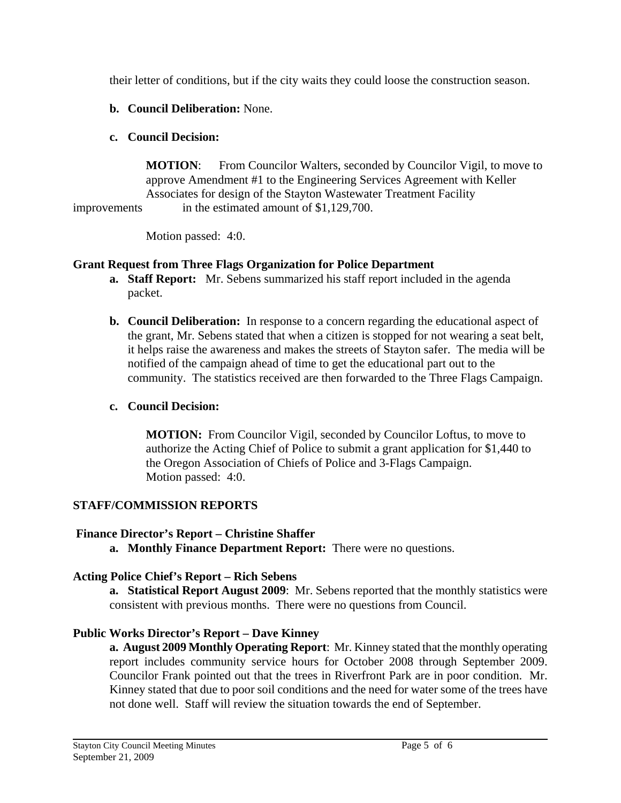their letter of conditions, but if the city waits they could loose the construction season.

**b. Council Deliberation:** None.

# **c. Council Decision:**

**MOTION:** From Councilor Walters, seconded by Councilor Vigil, to move to approve Amendment #1 to the Engineering Services Agreement with Keller Associates for design of the Stayton Wastewater Treatment Facility improvements in the estimated amount of \$1,129,700.

Motion passed: 4:0.

# **Grant Request from Three Flags Organization for Police Department**

- **a. Staff Report:** Mr. Sebens summarized his staff report included in the agenda packet.
- **b. Council Deliberation:** In response to a concern regarding the educational aspect of the grant, Mr. Sebens stated that when a citizen is stopped for not wearing a seat belt, it helps raise the awareness and makes the streets of Stayton safer. The media will be notified of the campaign ahead of time to get the educational part out to the community. The statistics received are then forwarded to the Three Flags Campaign.

# **c. Council Decision:**

**MOTION:** From Councilor Vigil, seconded by Councilor Loftus, to move to authorize the Acting Chief of Police to submit a grant application for \$1,440 to the Oregon Association of Chiefs of Police and 3-Flags Campaign. Motion passed: 4:0.

# **STAFF/COMMISSION REPORTS**

# **Finance Director's Report – Christine Shaffer**

**a. Monthly Finance Department Report:** There were no questions.

# **Acting Police Chief's Report – Rich Sebens**

**a. Statistical Report August 2009**: Mr. Sebens reported that the monthly statistics were consistent with previous months. There were no questions from Council.

# **Public Works Director's Report – Dave Kinney**

 **a. August 2009 Monthly Operating Report**: Mr. Kinney stated that the monthly operating report includes community service hours for October 2008 through September 2009. Councilor Frank pointed out that the trees in Riverfront Park are in poor condition. Mr. Kinney stated that due to poor soil conditions and the need for water some of the trees have not done well. Staff will review the situation towards the end of September.